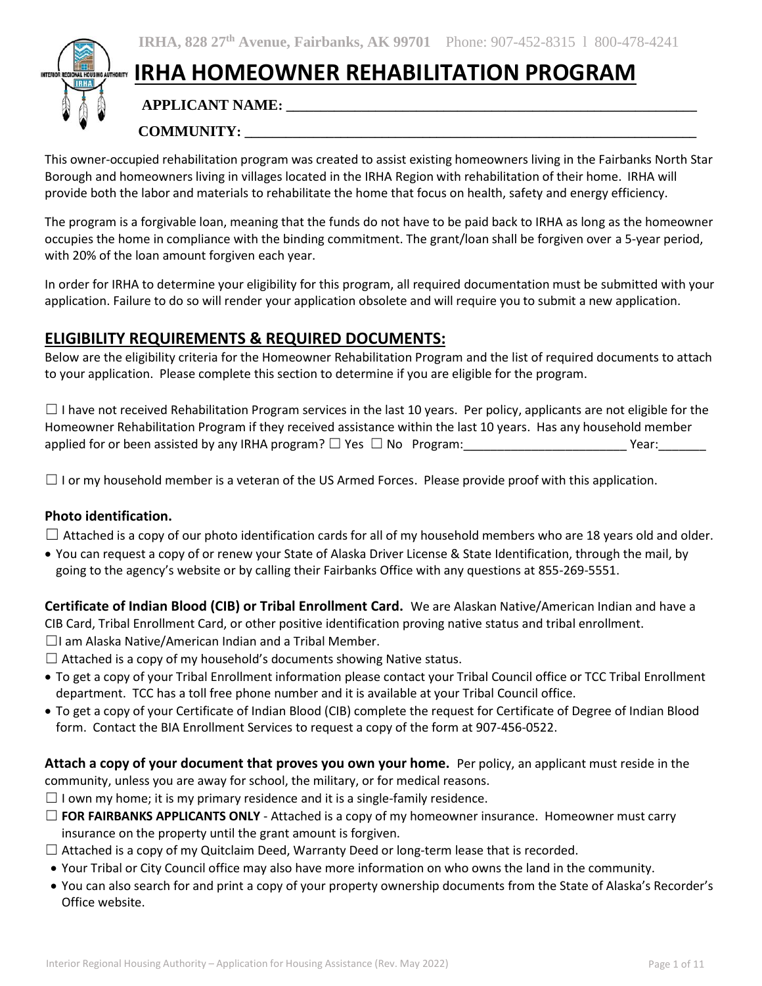# **IRHA HOMEOWNER REHABILITATION PROGRAM**

## **APPLICANT NAME: \_\_\_\_\_\_\_\_\_\_\_\_\_\_\_\_\_\_\_\_\_\_\_\_\_\_\_\_\_\_\_\_\_\_\_\_\_\_\_\_\_\_\_\_\_\_\_\_\_\_\_\_\_\_\_\_\_\_\_\_**

## **COMMUNITY: \_\_\_\_\_\_\_\_\_\_\_\_\_\_\_\_\_\_\_\_\_\_\_\_\_\_\_\_\_\_\_\_\_\_\_\_\_\_\_\_\_\_\_\_\_\_\_\_\_\_\_\_\_\_\_\_\_\_\_\_\_\_\_\_\_\_**

This owner-occupied rehabilitation program was created to assist existing homeowners living in the Fairbanks North Star Borough and homeowners living in villages located in the IRHA Region with rehabilitation of their home. IRHA will provide both the labor and materials to rehabilitate the home that focus on health, safety and energy efficiency.

The program is a forgivable loan, meaning that the funds do not have to be paid back to IRHA as long as the homeowner occupies the home in compliance with the binding commitment. The grant/loan shall be forgiven over a 5‐year period, with 20% of the loan amount forgiven each year.

In order for IRHA to determine your eligibility for this program, all required documentation must be submitted with your application. Failure to do so will render your application obsolete and will require you to submit a new application.

## **ELIGIBILITY REQUIREMENTS & REQUIRED DOCUMENTS:**

Below are the eligibility criteria for the Homeowner Rehabilitation Program and the list of required documents to attach to your application. Please complete this section to determine if you are eligible for the program.

 $\Box$  I have not received Rehabilitation Program services in the last 10 years. Per policy, applicants are not eligible for the Homeowner Rehabilitation Program if they received assistance within the last 10 years. Has any household member applied for or been assisted by any IRHA program? ☐ Yes ☐ No Program:\_\_\_\_\_\_\_\_\_\_\_\_\_\_\_\_\_\_\_\_\_\_\_\_ Year:\_\_\_\_\_\_\_

 $\Box$  I or my household member is a veteran of the US Armed Forces. Please provide proof with this application.

#### **Photo identification.**

 $\Box$  Attached is a copy of our photo identification cards for all of my household members who are 18 years old and older.

• You can request a copy of or renew your State of Alaska Driver License & State Identification, through the mail, by going to the agency's website or by calling their Fairbanks Office with any questions at 855-269-5551.

**Certificate of Indian Blood (CIB) or Tribal Enrollment Card.** We are Alaskan Native/American Indian and have a CIB Card, Tribal Enrollment Card, or other positive identification proving native status and tribal enrollment.

- ☐I am Alaska Native/American Indian and a Tribal Member.
- $\Box$  Attached is a copy of my household's documents showing Native status.
- To get a copy of your Tribal Enrollment information please contact your Tribal Council office or TCC Tribal Enrollment department. TCC has a toll free phone number and it is available at your Tribal Council office.
- To get a copy of your Certificate of Indian Blood (CIB) complete the request for Certificate of Degree of Indian Blood form. Contact the BIA Enrollment Services to request a copy of the form at 907-456-0522.

**Attach a copy of your document that proves you own your home.** Per policy, an applicant must reside in the community, unless you are away for school, the military, or for medical reasons.

- $\Box$  I own my home; it is my primary residence and it is a single-family residence.
- ☐ **FOR FAIRBANKS APPLICANTS ONLY** Attached is a copy of my homeowner insurance. Homeowner must carry insurance on the property until the grant amount is forgiven.
- $\Box$  Attached is a copy of my Quitclaim Deed, Warranty Deed or long-term lease that is recorded.
- Your Tribal or City Council office may also have more information on who owns the land in the community.
- You can also search for and print a copy of your property ownership documents from the State of Alaska's Recorder's Office website.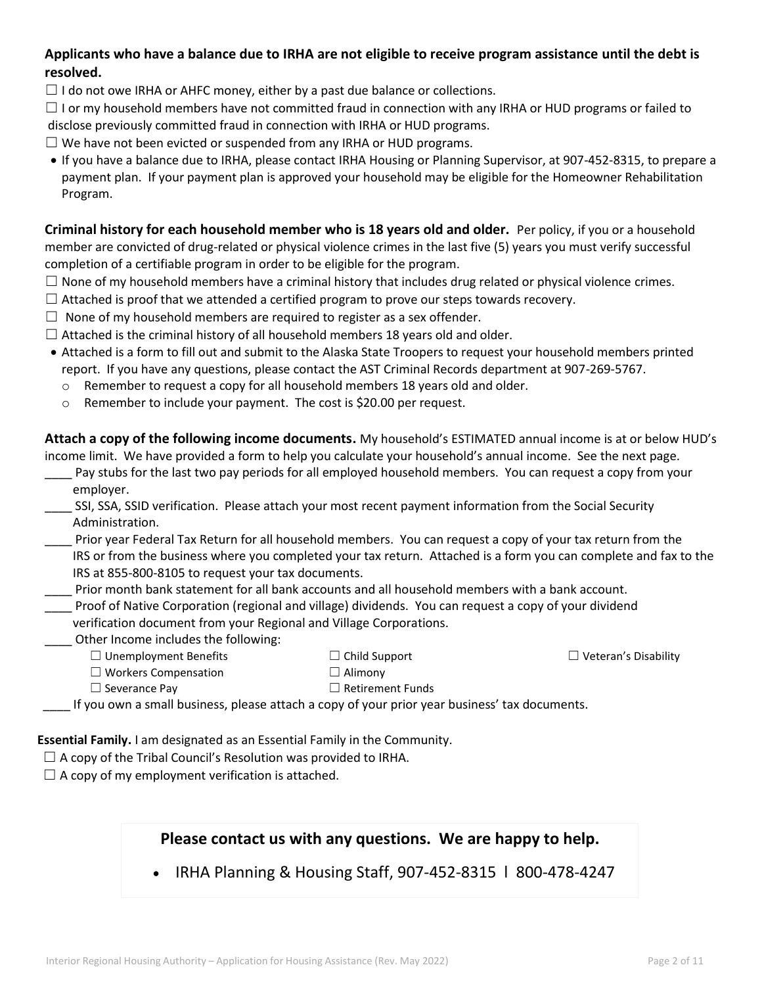#### **Applicants who have a balance due to IRHA are not eligible to receive program assistance until the debt is resolved.**

 $\Box$  I do not owe IRHA or AHFC money, either by a past due balance or collections.

 $\Box$  I or my household members have not committed fraud in connection with any IRHA or HUD programs or failed to disclose previously committed fraud in connection with IRHA or HUD programs.

- $\Box$  We have not been evicted or suspended from any IRHA or HUD programs.
- If you have a balance due to IRHA, please contact IRHA Housing or Planning Supervisor, at 907-452-8315, to prepare a payment plan. If your payment plan is approved your household may be eligible for the Homeowner Rehabilitation Program.

**Criminal history for each household member who is 18 years old and older.** Per policy, if you or a household member are convicted of drug-related or physical violence crimes in the last five (5) years you must verify successful completion of a certifiable program in order to be eligible for the program.

- $\Box$  None of my household members have a criminal history that includes drug related or physical violence crimes.
- $\Box$  Attached is proof that we attended a certified program to prove our steps towards recovery.
- $\Box$  None of my household members are required to register as a sex offender.
- $\Box$  Attached is the criminal history of all household members 18 years old and older.
- Attached is a form to fill out and submit to the Alaska State Troopers to request your household members printed report. If you have any questions, please contact the AST Criminal Records department at 907-269-5767.
	- $\circ$  Remember to request a copy for all household members 18 years old and older.
	- o Remember to include your payment. The cost is \$20.00 per request.

**Attach a copy of the following income documents.** My household's ESTIMATED annual income is at or below HUD's income limit. We have provided a form to help you calculate your household's annual income. See the next page.

- Pay stubs for the last two pay periods for all employed household members. You can request a copy from your employer.
- \_\_\_\_ SSI, SSA, SSID verification. Please attach your most recent payment information from the Social Security Administration.
- \_\_\_\_ Prior year Federal Tax Return for all household members. You can request a copy of your tax return from the IRS or from the business where you completed your tax return. Attached is a form you can complete and fax to the IRS at 855-800-8105 to request your tax documents.
- \_\_\_\_ Prior month bank statement for all bank accounts and all household members with a bank account.
- \_\_\_\_ Proof of Native Corporation (regional and village) dividends. You can request a copy of your dividend verification document from your Regional and Village Corporations.
- \_\_\_\_ Other Income includes the following:
	- ☐ Unemployment Benefits
- ☐ Child Support

☐ Veteran's Disability

- ☐ Workers Compensation
- $\Box$  Alimony ☐ Retirement Funds
- $\Box$  Severance Pay
- \_\_\_\_ If you own a small business, please attach a copy of your prior year business' tax documents.

**Essential Family.** I am designated as an Essential Family in the Community.

- $\Box$  A copy of the Tribal Council's Resolution was provided to IRHA.
- $\Box$  A copy of my employment verification is attached.

## **Please contact us with any questions. We are happy to help.**

• IRHA Planning & Housing Staff, 907-452-8315 l 800-478-4247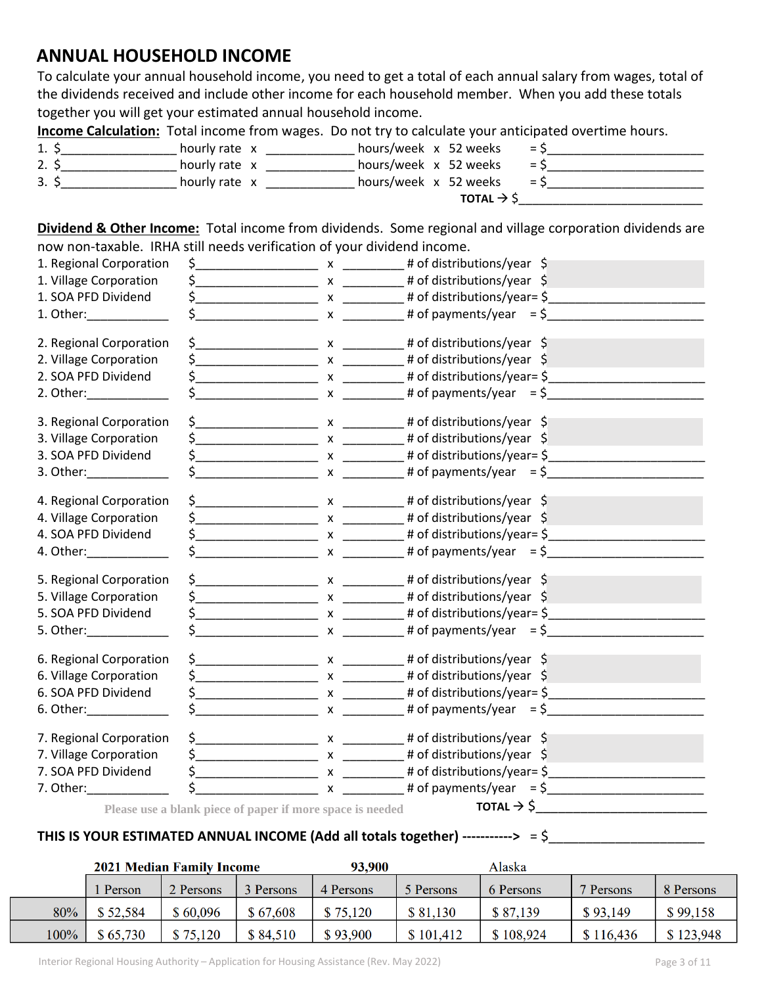## **ANNUAL HOUSEHOLD INCOME**

To calculate your annual household income, you need to get a total of each annual salary from wages, total of the dividends received and include other income for each household member. When you add these totals together you will get your estimated annual household income.

**Income Calculation:** Total income from wages. Do not try to calculate your anticipated overtime hours.

|     |               | TOTAL $\rightarrow$ \$ |            |
|-----|---------------|------------------------|------------|
| 3.5 | hourly rate x | hours/week x 52 weeks  | $=$ $\sim$ |
| 2.5 | hourly rate x | hours/week x 52 weeks  | $=$ $\sim$ |
| 1.  | hourly rate x | hours/week x 52 weeks  | $=$ $\sim$ |

**Dividend & Other Income:** Total income from dividends. Some regional and village corporation dividends are now non-taxable. IRHA still needs verification of your dividend income.

| 1. Regional Corporation                                                                                                                                                                                                       |                                                           |                                                                                                                                                                                                                                                                                                                     |
|-------------------------------------------------------------------------------------------------------------------------------------------------------------------------------------------------------------------------------|-----------------------------------------------------------|---------------------------------------------------------------------------------------------------------------------------------------------------------------------------------------------------------------------------------------------------------------------------------------------------------------------|
| 1. Village Corporation                                                                                                                                                                                                        |                                                           |                                                                                                                                                                                                                                                                                                                     |
| 1. SOA PFD Dividend                                                                                                                                                                                                           |                                                           | $\frac{1}{2}$ x x ___________ # of distributions/year= $\frac{1}{2}$                                                                                                                                                                                                                                                |
| 1. Other: ______________                                                                                                                                                                                                      |                                                           |                                                                                                                                                                                                                                                                                                                     |
| 2. Regional Corporation                                                                                                                                                                                                       |                                                           | $\frac{1}{2}$ x __________________ x _____________ # of distributions/year $\frac{1}{2}$                                                                                                                                                                                                                            |
| 2. Village Corporation                                                                                                                                                                                                        |                                                           | $\frac{1}{2}$ $\frac{1}{2}$ $\frac{1}{2}$ $\frac{1}{2}$ $\frac{1}{2}$ $\frac{1}{2}$ $\frac{1}{2}$ $\frac{1}{2}$ $\frac{1}{2}$ $\frac{1}{2}$ $\frac{1}{2}$ $\frac{1}{2}$ $\frac{1}{2}$ $\frac{1}{2}$ $\frac{1}{2}$ $\frac{1}{2}$ $\frac{1}{2}$ $\frac{1}{2}$ $\frac{1}{2}$ $\frac{1}{2}$ $\frac{1}{2}$ $\frac{1}{2}$ |
| 2. SOA PFD Dividend                                                                                                                                                                                                           |                                                           | $\frac{1}{2}$ x x ___________ # of distributions/year= $\frac{1}{2}$                                                                                                                                                                                                                                                |
| 2. Other: _____________                                                                                                                                                                                                       |                                                           |                                                                                                                                                                                                                                                                                                                     |
| 3. Regional Corporation                                                                                                                                                                                                       |                                                           | $\zeta$ # of distributions/year $\zeta$                                                                                                                                                                                                                                                                             |
| 3. Village Corporation                                                                                                                                                                                                        |                                                           | $\frac{1}{2}$ x __________________ x ____________ # of distributions/year $\frac{1}{2}$                                                                                                                                                                                                                             |
| 3. SOA PFD Dividend                                                                                                                                                                                                           |                                                           |                                                                                                                                                                                                                                                                                                                     |
|                                                                                                                                                                                                                               |                                                           |                                                                                                                                                                                                                                                                                                                     |
| 4. Regional Corporation                                                                                                                                                                                                       |                                                           | $\frac{1}{2}$ $\frac{1}{2}$ $\frac{1}{2}$ $\frac{1}{2}$ $\frac{1}{2}$ $\frac{1}{2}$ $\frac{1}{2}$ $\frac{1}{2}$ $\frac{1}{2}$ $\frac{1}{2}$ $\frac{1}{2}$ $\frac{1}{2}$ $\frac{1}{2}$ $\frac{1}{2}$ $\frac{1}{2}$ $\frac{1}{2}$ $\frac{1}{2}$ $\frac{1}{2}$ $\frac{1}{2}$ $\frac{1}{2}$ $\frac{1}{2}$ $\frac{1}{2}$ |
| 4. Village Corporation                                                                                                                                                                                                        |                                                           |                                                                                                                                                                                                                                                                                                                     |
| 4. SOA PFD Dividend                                                                                                                                                                                                           |                                                           |                                                                                                                                                                                                                                                                                                                     |
| 4. Other: ______________                                                                                                                                                                                                      |                                                           |                                                                                                                                                                                                                                                                                                                     |
| 5. Regional Corporation                                                                                                                                                                                                       |                                                           | $\frac{1}{2}$ + of distributions/year $\frac{1}{2}$                                                                                                                                                                                                                                                                 |
| 5. Village Corporation                                                                                                                                                                                                        |                                                           | $\zeta$ x x 100 x + 0f distributions/year $\zeta$                                                                                                                                                                                                                                                                   |
| 5. SOA PFD Dividend                                                                                                                                                                                                           |                                                           | $\zeta$ x x _____________ * # of distributions/year= $\zeta$ ______________________                                                                                                                                                                                                                                 |
| 5. Other: ______________                                                                                                                                                                                                      |                                                           |                                                                                                                                                                                                                                                                                                                     |
| 6. Regional Corporation                                                                                                                                                                                                       |                                                           | $\frac{1}{2}$ $\frac{1}{2}$ $\frac{1}{2}$ $\frac{1}{2}$ $\frac{1}{2}$ $\frac{1}{2}$ $\frac{1}{2}$ $\frac{1}{2}$ $\frac{1}{2}$ $\frac{1}{2}$ $\frac{1}{2}$ $\frac{1}{2}$ $\frac{1}{2}$ $\frac{1}{2}$ $\frac{1}{2}$ $\frac{1}{2}$ $\frac{1}{2}$ $\frac{1}{2}$ $\frac{1$                                               |
| 6. Village Corporation                                                                                                                                                                                                        |                                                           | $\frac{1}{2}$ $\frac{1}{2}$ $\frac{1}{2}$ $\frac{1}{2}$ $\frac{1}{2}$ $\frac{1}{2}$ $\frac{1}{2}$ $\frac{1}{2}$ $\frac{1}{2}$ $\frac{1}{2}$ $\frac{1}{2}$ $\frac{1}{2}$ $\frac{1}{2}$ $\frac{1}{2}$ $\frac{1}{2}$ $\frac{1}{2}$ $\frac{1}{2}$ $\frac{1}{2}$ $\frac{1}{2}$ $\frac{1}{2}$ $\frac{1}{2}$ $\frac{1}{2}$ |
| 6. SOA PFD Dividend                                                                                                                                                                                                           |                                                           |                                                                                                                                                                                                                                                                                                                     |
| 6. Other:                                                                                                                                                                                                                     |                                                           |                                                                                                                                                                                                                                                                                                                     |
| 7. Regional Corporation                                                                                                                                                                                                       |                                                           | $\frac{1}{2}$ $\frac{1}{2}$ $\frac{1}{2}$ $\frac{1}{2}$ $\frac{1}{2}$ $\frac{1}{2}$ $\frac{1}{2}$ $\frac{1}{2}$ $\frac{1}{2}$ $\frac{1}{2}$ $\frac{1}{2}$ $\frac{1}{2}$ $\frac{1}{2}$ $\frac{1}{2}$ $\frac{1}{2}$ $\frac{1}{2}$ $\frac{1}{2}$ $\frac{1}{2}$ $\frac{1}{2}$ $\frac{1}{2}$ $\frac{1}{2}$ $\frac{1}{2}$ |
| 7. Village Corporation                                                                                                                                                                                                        |                                                           | $\frac{1}{2}$ x _________________ x ____________ # of distributions/year $\frac{1}{2}$                                                                                                                                                                                                                              |
| 7. SOA PFD Dividend                                                                                                                                                                                                           |                                                           |                                                                                                                                                                                                                                                                                                                     |
| 7. Other: The Contract of the Contract of the Contract of the Contract of the Contract of the Contract of the Contract of the Contract of the Contract of the Contract of the Contract of the Contract of the Contract of the |                                                           | $\zeta$ x $\qquad \qquad$ # of payments/year = $\zeta$                                                                                                                                                                                                                                                              |
|                                                                                                                                                                                                                               | Please use a blank piece of paper if more space is needed | TOTAL $\rightarrow$ \$                                                                                                                                                                                                                                                                                              |

## **THIS IS YOUR ESTIMATED ANNUAL INCOME (Add all totals together) ----------->** = \$\_\_\_\_\_\_\_\_\_\_\_\_\_\_\_\_\_\_\_\_\_

|      | <b>2021 Median Family Income</b> |           |           | 93,900    |           | Alaska    |           |           |  |
|------|----------------------------------|-----------|-----------|-----------|-----------|-----------|-----------|-----------|--|
|      | Person                           | 2 Persons | 3 Persons | 4 Persons | 5 Persons | 6 Persons | 7 Persons | 8 Persons |  |
| 80%  | \$52,584                         | \$60,096  | \$67,608  | \$75,120  | \$81,130  | \$87,139  | \$93,149  | \$99,158  |  |
| 100% | \$65,730                         | \$75,120  | \$84,510  | \$93,900  | \$101,412 | \$108,924 | \$116,436 | \$123,948 |  |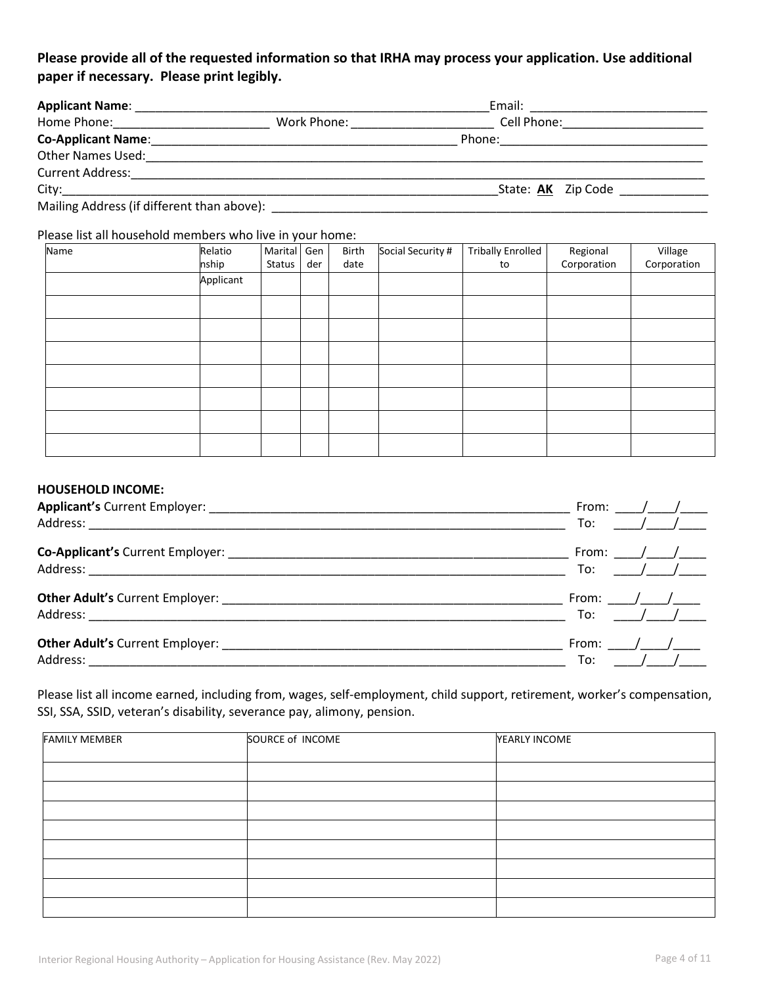### **Please provide all of the requested information so that IRHA may process your application. Use additional paper if necessary. Please print legibly.**

| <b>Applicant Name:</b>                     |             | Email:             |
|--------------------------------------------|-------------|--------------------|
| Home Phone:                                | Work Phone: | Cell Phone:        |
| <b>Co-Applicant Name:</b>                  |             | Phone:             |
| <b>Other Names Used:</b>                   |             |                    |
| <b>Current Address:</b>                    |             |                    |
| City:                                      |             | State: AK Zip Code |
| Mailing Address (if different than above): |             |                    |

#### Please list all household members who live in your home:

| Name | Relatio<br>nship | Marital<br>Status | Gen<br>der | Birth<br>date | Social Security # | <b>Tribally Enrolled</b><br>to | Regional<br>Corporation | Village<br>Corporation |
|------|------------------|-------------------|------------|---------------|-------------------|--------------------------------|-------------------------|------------------------|
|      | Applicant        |                   |            |               |                   |                                |                         |                        |
|      |                  |                   |            |               |                   |                                |                         |                        |
|      |                  |                   |            |               |                   |                                |                         |                        |
|      |                  |                   |            |               |                   |                                |                         |                        |
|      |                  |                   |            |               |                   |                                |                         |                        |
|      |                  |                   |            |               |                   |                                |                         |                        |
|      |                  |                   |            |               |                   |                                |                         |                        |
|      |                  |                   |            |               |                   |                                |                         |                        |

#### **HOUSEHOLD INCOME:**

| From:                |
|----------------------|
| To:<br>$\frac{1}{2}$ |
| From: $/$ /          |
| To:<br>$\frac{1}{2}$ |
| From: $/$ /          |
| $\frac{1}{2}$<br>To: |
| From: $/$ /          |
| $\frac{1}{2}$<br>To: |

Please list all income earned, including from, wages, self-employment, child support, retirement, worker's compensation, SSI, SSA, SSID, veteran's disability, severance pay, alimony, pension.

| <b>FAMILY MEMBER</b> | SOURCE of INCOME | YEARLY INCOME |
|----------------------|------------------|---------------|
|                      |                  |               |
|                      |                  |               |
|                      |                  |               |
|                      |                  |               |
|                      |                  |               |
|                      |                  |               |
|                      |                  |               |
|                      |                  |               |
|                      |                  |               |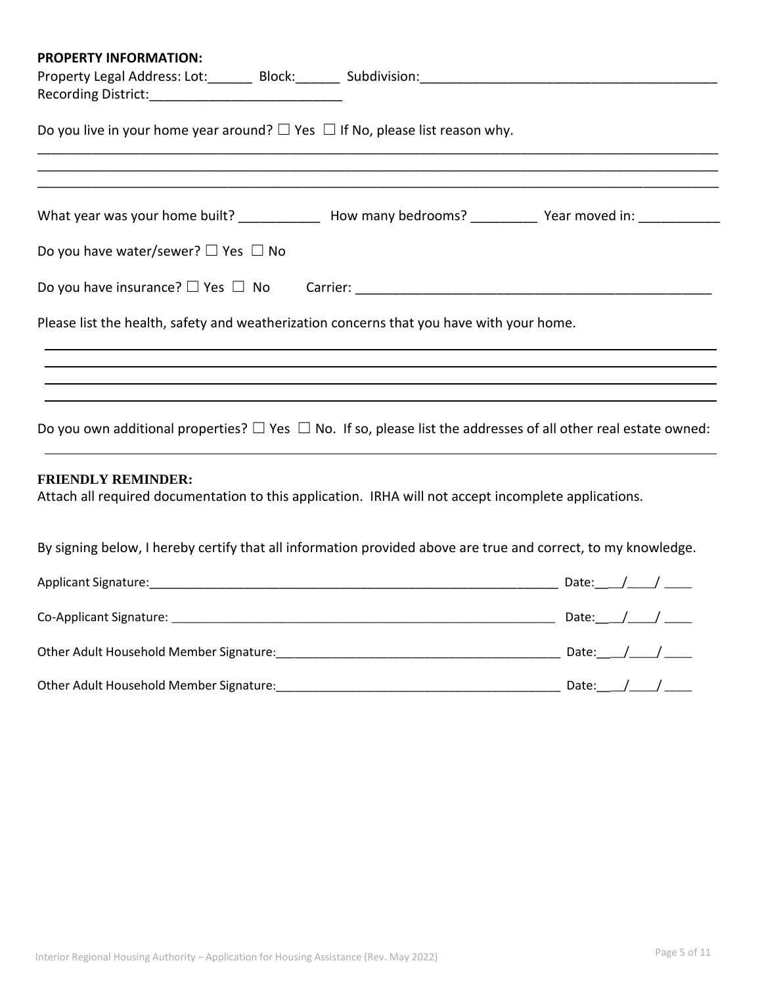| <b>PROPERTY INFORMATION:</b>                                                             |                                                                                                                          |
|------------------------------------------------------------------------------------------|--------------------------------------------------------------------------------------------------------------------------|
|                                                                                          |                                                                                                                          |
|                                                                                          |                                                                                                                          |
| Do you live in your home year around? $\Box$ Yes $\Box$ If No, please list reason why.   |                                                                                                                          |
|                                                                                          | What year was your home built? _______________ How many bedrooms? ___________ Year moved in: ____________                |
| Do you have water/sewer? $\Box$ Yes $\Box$ No                                            |                                                                                                                          |
|                                                                                          |                                                                                                                          |
| Please list the health, safety and weatherization concerns that you have with your home. |                                                                                                                          |
|                                                                                          |                                                                                                                          |
|                                                                                          |                                                                                                                          |
|                                                                                          |                                                                                                                          |
|                                                                                          | Do you own additional properties? $\Box$ Yes $\Box$ No. If so, please list the addresses of all other real estate owned: |
| <b>FRIENDLY REMINDER:</b>                                                                | Attach all required documentation to this application. IRHA will not accept incomplete applications.                     |
|                                                                                          | By signing below, I hereby certify that all information provided above are true and correct, to my knowledge.            |
|                                                                                          |                                                                                                                          |
|                                                                                          |                                                                                                                          |
|                                                                                          |                                                                                                                          |
|                                                                                          |                                                                                                                          |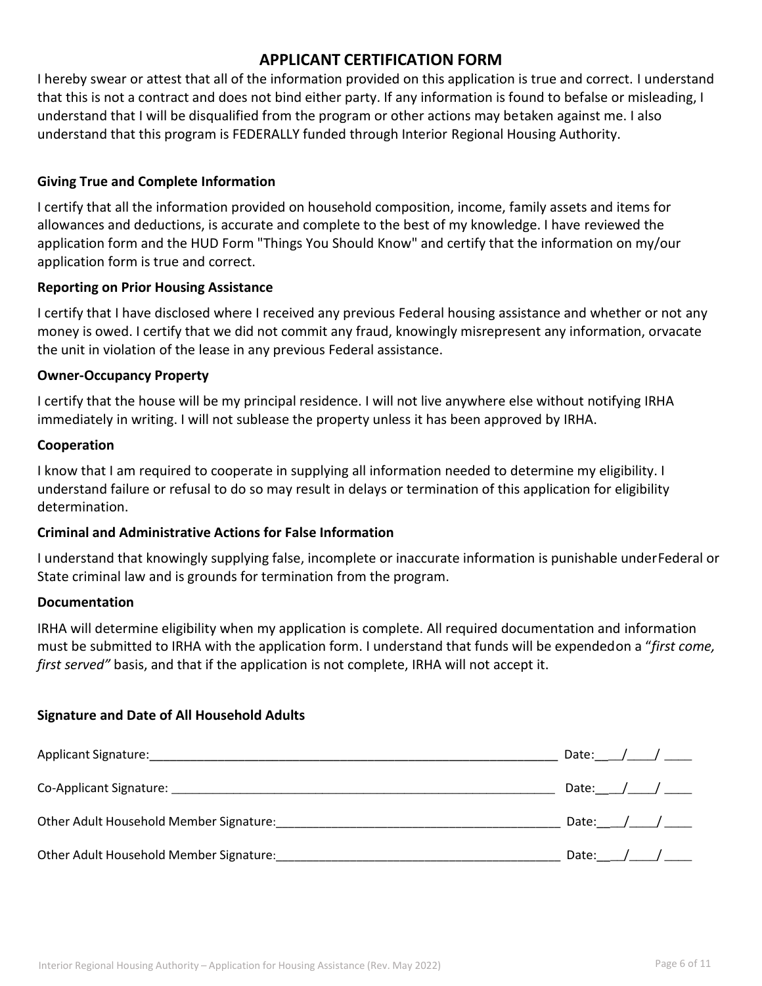## **APPLICANT CERTIFICATION FORM**

I hereby swear or attest that all of the information provided on this application is true and correct. I understand that this is not a contract and does not bind either party. If any information is found to befalse or misleading, I understand that I will be disqualified from the program or other actions may betaken against me. I also understand that this program is FEDERALLY funded through Interior Regional Housing Authority.

#### **Giving True and Complete Information**

I certify that all the information provided on household composition, income, family assets and items for allowances and deductions, is accurate and complete to the best of my knowledge. I have reviewed the application form and the HUD Form "Things You Should Know" and certify that the information on my/our application form is true and correct.

#### **Reporting on Prior Housing Assistance**

I certify that I have disclosed where I received any previous Federal housing assistance and whether or not any money is owed. I certify that we did not commit any fraud, knowingly misrepresent any information, orvacate the unit in violation of the lease in any previous Federal assistance.

#### **Owner-Occupancy Property**

I certify that the house will be my principal residence. I will not live anywhere else without notifying IRHA immediately in writing. I will not sublease the property unless it has been approved by IRHA.

#### **Cooperation**

I know that I am required to cooperate in supplying all information needed to determine my eligibility. I understand failure or refusal to do so may result in delays or termination of this application for eligibility determination.

#### **Criminal and Administrative Actions for False Information**

I understand that knowingly supplying false, incomplete or inaccurate information is punishable underFederal or State criminal law and is grounds for termination from the program.

#### **Documentation**

IRHA will determine eligibility when my application is complete. All required documentation and information must be submitted to IRHA with the application form. I understand that funds will be expendedon a "*first come, first served"* basis, and that if the application is not complete, IRHA will not accept it.

#### **Signature and Date of All Household Adults**

| Applicant Signature: National Applicant Signature: | Date: $\angle$ $\angle$ $\angle$ |
|----------------------------------------------------|----------------------------------|
|                                                    | Date: $\angle$ $\angle$ $\angle$ |
| Other Adult Household Member Signature:            |                                  |
| Other Adult Household Member Signature:            |                                  |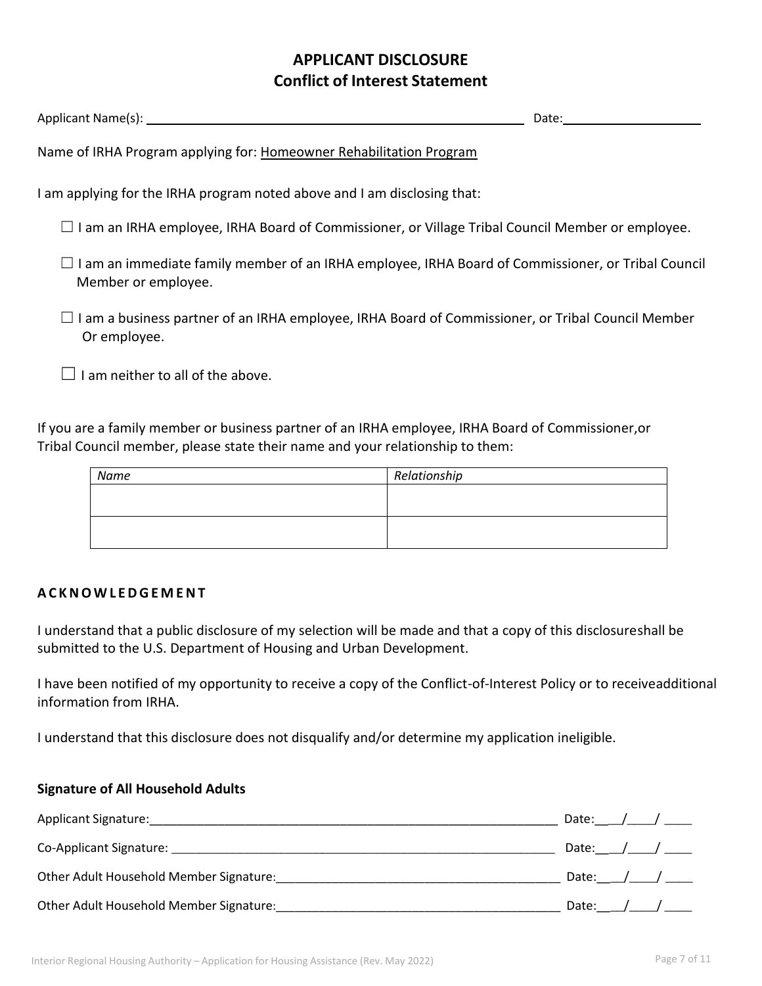## **APPLICANT DISCLOSURE Conflict of Interest Statement**

| Applicant Name(s):                                                                                                        | Date: |
|---------------------------------------------------------------------------------------------------------------------------|-------|
| Name of IRHA Program applying for: Homeowner Rehabilitation Program                                                       |       |
| I am applying for the IRHA program noted above and I am disclosing that:                                                  |       |
| $\Box$ I am an IRHA employee, IRHA Board of Commissioner, or Village Tribal Council Member or employee.                   |       |
| I am an immediate family member of an IRHA employee, IRHA Board of Commissioner, or Tribal Council<br>Member or employee. |       |
| I am a business partner of an IRHA employee, IRHA Board of Commissioner, or Tribal Council Member<br>Or employee.         |       |
| am neither to all of the above.                                                                                           |       |

If you are a family member or business partner of an IRHA employee, IRHA Board of Commissioner,or Tribal Council member, please state their name and your relationship to them:

| Name | Relationship |
|------|--------------|
|      |              |
|      |              |
|      |              |
|      |              |

#### **A C K N O W L E D G E M E N T**

I understand that a public disclosure of my selection will be made and that a copy of this disclosureshall be submitted to the U.S. Department of Housing and Urban Development.

I have been notified of my opportunity to receive a copy of the Conflict-of-Interest Policy or to receiveadditional information from IRHA.

I understand that this disclosure does not disqualify and/or determine my application ineligible.

#### **Signature of All Household Adults**

| <b>Applicant Signature:</b>             | Date: / / |
|-----------------------------------------|-----------|
|                                         |           |
| Other Adult Household Member Signature: |           |
| Other Adult Household Member Signature: | Date: / / |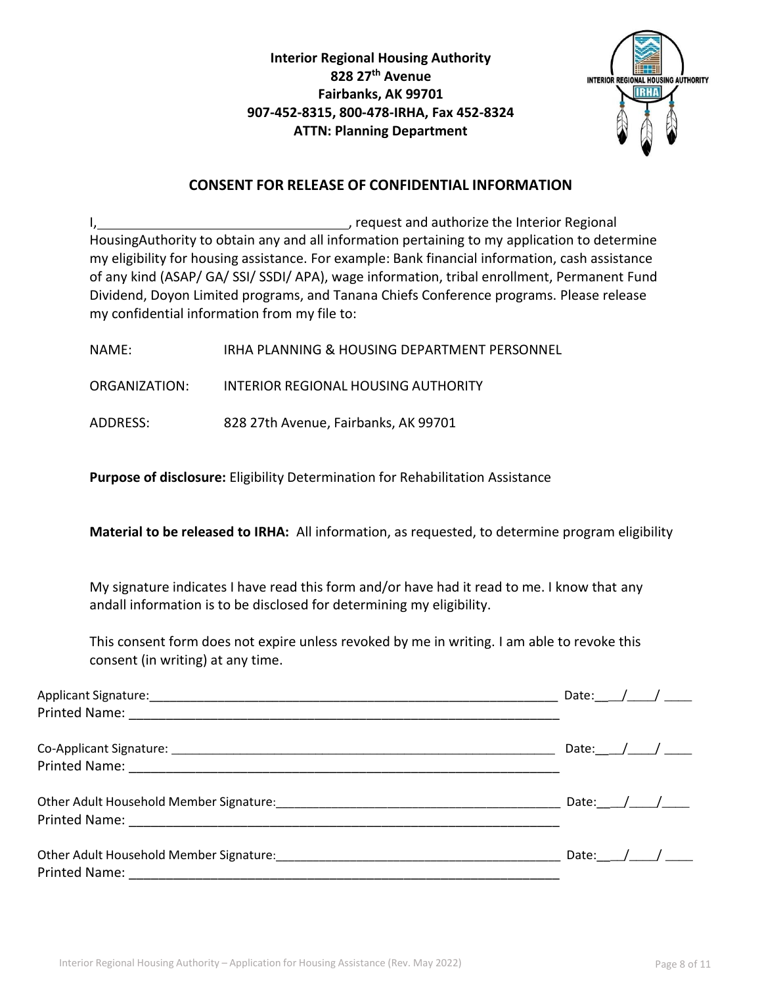**Interior Regional Housing Authority 828 27th Avenue Fairbanks, AK 99701 907-452-8315, 800-478-IRHA, Fax 452-8324 ATTN: Planning Department**



#### **CONSENT FOR RELEASE OF CONFIDENTIAL INFORMATION**

I, **the contract of the Interior Regional** contract the Interior Regional contract the Interior Regional HousingAuthority to obtain any and all information pertaining to my application to determine my eligibility for housing assistance. For example: Bank financial information, cash assistance of any kind (ASAP/ GA/ SSI/ SSDI/ APA), wage information, tribal enrollment, Permanent Fund Dividend, Doyon Limited programs, and Tanana Chiefs Conference programs. Please release my confidential information from my file to:

NAME: IRHA PLANNING & HOUSING DEPARTMENT PERSONNEL

ORGANIZATION: INTERIOR REGIONAL HOUSING AUTHORITY

ADDRESS: 828 27th Avenue, Fairbanks, AK 99701

**Purpose of disclosure:** Eligibility Determination for Rehabilitation Assistance

**Material to be released to IRHA:** All information, as requested, to determine program eligibility

My signature indicates I have read this form and/or have had it read to me. I know that any andall information is to be disclosed for determining my eligibility.

This consent form does not expire unless revoked by me in writing. I am able to revoke this consent (in writing) at any time.

| Date: $\_\_\_\_\_\_\_\_\_\_\_\_\_\_\_\_\_\_\_\_\_\_\_\_\_\_$ |
|--------------------------------------------------------------|
|                                                              |
|                                                              |
|                                                              |
|                                                              |
|                                                              |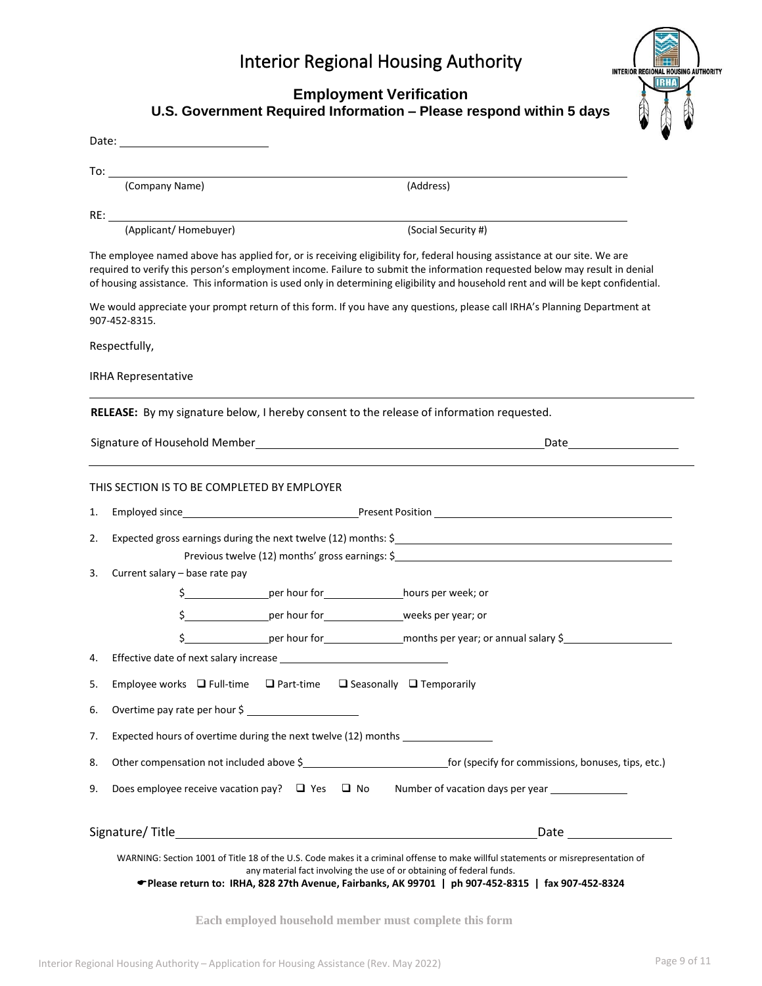|    | <b>Interior Regional Housing Authority</b><br><b>INTERIOR REGIONAL HOUSING AUTHORITY</b><br>IRHA                                                                                                                                                                                                                                                                                             |  |  |  |
|----|----------------------------------------------------------------------------------------------------------------------------------------------------------------------------------------------------------------------------------------------------------------------------------------------------------------------------------------------------------------------------------------------|--|--|--|
|    | <b>Employment Verification</b><br>U.S. Government Required Information - Please respond within 5 days                                                                                                                                                                                                                                                                                        |  |  |  |
|    |                                                                                                                                                                                                                                                                                                                                                                                              |  |  |  |
|    |                                                                                                                                                                                                                                                                                                                                                                                              |  |  |  |
|    | To: $\overline{\phantom{a}}$<br>(Company Name)<br>(Address)                                                                                                                                                                                                                                                                                                                                  |  |  |  |
|    | RE:<br><u> 1989 - Johann Stoff, deutscher Stoffen und der Stoffen und der Stoffen und der Stoffen und der Stoffen und d</u>                                                                                                                                                                                                                                                                  |  |  |  |
|    | (Applicant/Homebuyer)<br>(Social Security #)                                                                                                                                                                                                                                                                                                                                                 |  |  |  |
|    | The employee named above has applied for, or is receiving eligibility for, federal housing assistance at our site. We are<br>required to verify this person's employment income. Failure to submit the information requested below may result in denial<br>of housing assistance. This information is used only in determining eligibility and household rent and will be kept confidential. |  |  |  |
|    | We would appreciate your prompt return of this form. If you have any questions, please call IRHA's Planning Department at<br>907-452-8315.                                                                                                                                                                                                                                                   |  |  |  |
|    | Respectfully,                                                                                                                                                                                                                                                                                                                                                                                |  |  |  |
|    | <b>IRHA Representative</b>                                                                                                                                                                                                                                                                                                                                                                   |  |  |  |
|    |                                                                                                                                                                                                                                                                                                                                                                                              |  |  |  |
|    | RELEASE: By my signature below, I hereby consent to the release of information requested.                                                                                                                                                                                                                                                                                                    |  |  |  |
|    |                                                                                                                                                                                                                                                                                                                                                                                              |  |  |  |
|    |                                                                                                                                                                                                                                                                                                                                                                                              |  |  |  |
|    | THIS SECTION IS TO BE COMPLETED BY EMPLOYER                                                                                                                                                                                                                                                                                                                                                  |  |  |  |
| 1. |                                                                                                                                                                                                                                                                                                                                                                                              |  |  |  |
| 2. | Expected gross earnings during the next twelve (12) months: \$                                                                                                                                                                                                                                                                                                                               |  |  |  |
| 3. | Previous twelve (12) months' gross earnings: $\frac{1}{2}$<br>Current salary - base rate pay                                                                                                                                                                                                                                                                                                 |  |  |  |
|    | \$ _______________________per hour for ______________________hours per week; or                                                                                                                                                                                                                                                                                                              |  |  |  |
|    | \$ _____________________per hour for _____________________weeks per year; or                                                                                                                                                                                                                                                                                                                 |  |  |  |
|    | \$ <b>Example 1</b> Per hour for <b>Example 2</b> months per year; or annual salary \$ <b>Example 2</b> Per hour for <b>Example 2</b> months per year; or annual salary \$ <b>Example 2</b>                                                                                                                                                                                                  |  |  |  |
| 4. |                                                                                                                                                                                                                                                                                                                                                                                              |  |  |  |
| 5. | Employee works $\Box$ Full-time $\Box$ Part-time $\Box$ Seasonally $\Box$ Temporarily                                                                                                                                                                                                                                                                                                        |  |  |  |
| 6. | Overtime pay rate per hour \$                                                                                                                                                                                                                                                                                                                                                                |  |  |  |
| 7. | Expected hours of overtime during the next twelve (12) months                                                                                                                                                                                                                                                                                                                                |  |  |  |
| 8. |                                                                                                                                                                                                                                                                                                                                                                                              |  |  |  |
|    |                                                                                                                                                                                                                                                                                                                                                                                              |  |  |  |

| Signature/Title_ |  |
|------------------|--|
|                  |  |

WARNING: Section 1001 of Title 18 of the U.S. Code makes it a criminal offense to make willful statements or misrepresentation of any material fact involving the use of or obtaining of federal funds.

**Please return to: IRHA, 828 27th Avenue, Fairbanks, AK 99701 | ph 907‐452‐8315 | fax 907‐452‐8324**

**Each employed household member must complete this form**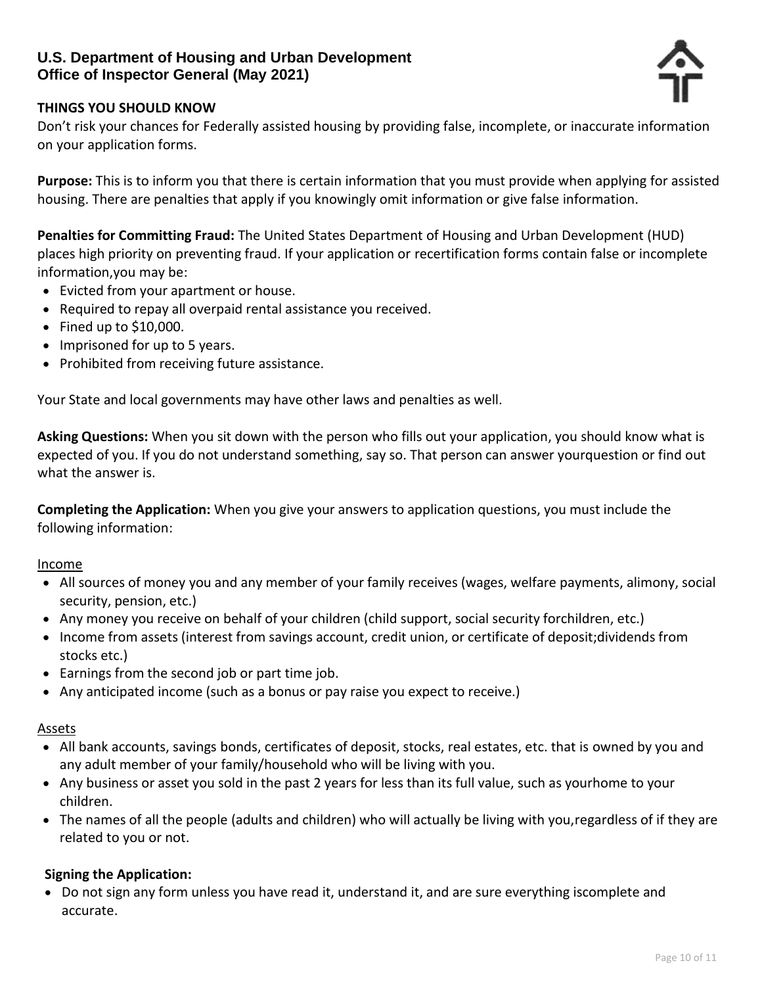## **U.S. Department of Housing and Urban Development Office of Inspector General (May 2021)**



#### **THINGS YOU SHOULD KNOW**

Don't risk your chances for Federally assisted housing by providing false, incomplete, or inaccurate information on your application forms.

**Purpose:** This is to inform you that there is certain information that you must provide when applying for assisted housing. There are penalties that apply if you knowingly omit information or give false information.

**Penalties for Committing Fraud:** The United States Department of Housing and Urban Development (HUD) places high priority on preventing fraud. If your application or recertification forms contain false or incomplete information,you may be:

- Evicted from your apartment or house.
- Required to repay all overpaid rental assistance you received.
- Fined up to \$10,000.
- Imprisoned for up to 5 years.
- Prohibited from receiving future assistance.

Your State and local governments may have other laws and penalties as well.

**Asking Questions:** When you sit down with the person who fills out your application, you should know what is expected of you. If you do not understand something, say so. That person can answer yourquestion or find out what the answer is.

**Completing the Application:** When you give your answers to application questions, you must include the following information:

#### Income

- All sources of money you and any member of your family receives (wages, welfare payments, alimony, social security, pension, etc.)
- Any money you receive on behalf of your children (child support, social security forchildren, etc.)
- Income from assets (interest from savings account, credit union, or certificate of deposit;dividends from stocks etc.)
- Earnings from the second job or part time job.
- Any anticipated income (such as a bonus or pay raise you expect to receive.)

#### Assets

- All bank accounts, savings bonds, certificates of deposit, stocks, real estates, etc. that is owned by you and any adult member of your family/household who will be living with you.
- Any business or asset you sold in the past 2 years for less than its full value, such as yourhome to your children.
- The names of all the people (adults and children) who will actually be living with you,regardless of if they are related to you or not.

#### **Signing the Application:**

• Do not sign any form unless you have read it, understand it, and are sure everything iscomplete and accurate.